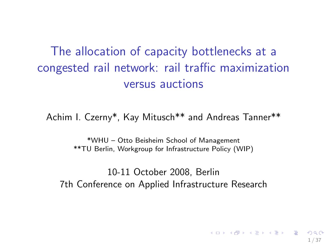The allocation of capacity bottlenecks at a congested rail network: rail traffic maximization versus auctions

Achim I. Czerny\*, Kay Mitusch\*\* and Andreas Tanner\*\*

\*WHU – Otto Beisheim School of Management \*\*TU Berlin, Workgroup for Infrastructure Policy (WIP)

10-11 October 2008, Berlin 7th Conference on Applied Infrastructure Research

1 / 37

 $\mathbf{E} = \mathbf{A} \oplus \mathbf{A} + \mathbf{A} \oplus \mathbf{A} + \mathbf{A} \oplus \mathbf{A} + \mathbf{A} \oplus \mathbf{A}$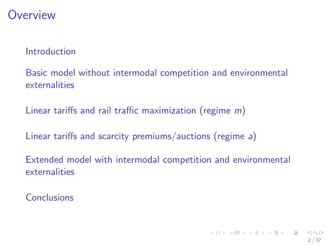## **Overview**

#### [Introduction](#page-2-0)

[Basic model without intermodal competition and environmental](#page-8-0) [externalities](#page-8-0)

[Linear tariffs and rail traffic maximization \(regime](#page-13-0) m)

[Linear tariffs and scarcity premiums/auctions \(regime](#page-19-0) a)

[Extended model with intermodal competition and environmental](#page-28-0) [externalities](#page-28-0)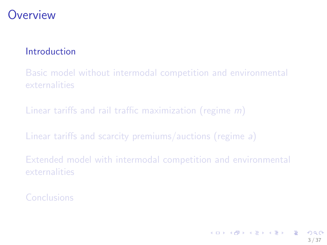# **Overview**

#### [Introduction](#page-2-0)

[Basic model without intermodal competition and environmental](#page-8-0) [externalities](#page-8-0)

[Linear tariffs and rail traffic maximization \(regime](#page-13-0) m)

[Linear tariffs and scarcity premiums/auctions \(regime](#page-19-0) a)

<span id="page-2-0"></span>[Extended model with intermodal competition and environmental](#page-28-0) [externalities](#page-28-0)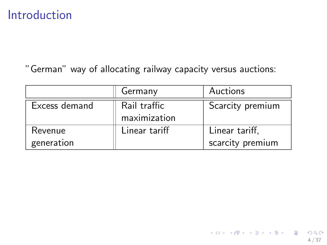"German" way of allocating railway capacity versus auctions:

|               | Germany       | Auctions         |
|---------------|---------------|------------------|
| Excess demand | Rail traffic  | Scarcity premium |
|               | maximization  |                  |
| Revenue       | Linear tariff | Linear tariff,   |
| generation    |               | scarcity premium |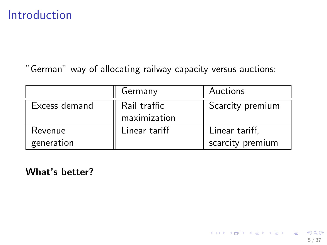"German" way of allocating railway capacity versus auctions:

|               | Germany       | Auctions         |
|---------------|---------------|------------------|
| Excess demand | Rail traffic  | Scarcity premium |
|               | maximization  |                  |
| Revenue       | Linear tariff | Linear tariff,   |
| generation    |               | scarcity premium |

What's better?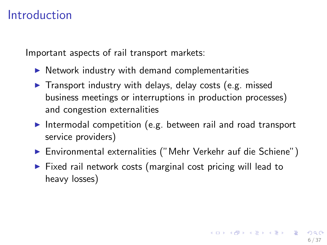Important aspects of rail transport markets:

- $\triangleright$  Network industry with demand complementarities
- $\blacktriangleright$  Transport industry with delays, delay costs (e.g. missed business meetings or interruptions in production processes) and congestion externalities
- Intermodal competition (e.g. between rail and road transport service providers)
- ▶ Environmental externalities ("Mehr Verkehr auf die Schiene")
- $\triangleright$  Fixed rail network costs (marginal cost pricing will lead to heavy losses)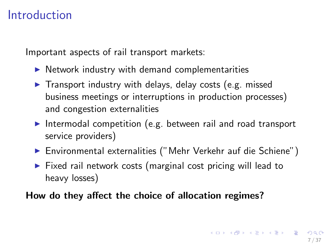Important aspects of rail transport markets:

- $\blacktriangleright$  Network industry with demand complementarities
- $\blacktriangleright$  Transport industry with delays, delay costs (e.g. missed business meetings or interruptions in production processes) and congestion externalities
- Intermodal competition (e.g. between rail and road transport service providers)
- ▶ Environmental externalities ("Mehr Verkehr auf die Schiene")
- $\triangleright$  Fixed rail network costs (marginal cost pricing will lead to heavy losses)

How do they affect the choice of allocation regimes?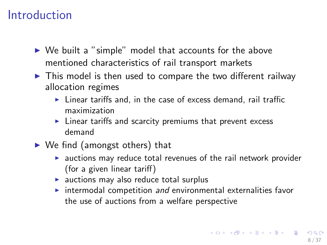- $\triangleright$  We built a "simple" model that accounts for the above mentioned characteristics of rail transport markets
- $\triangleright$  This model is then used to compare the two different railway allocation regimes
	- $\blacktriangleright$  Linear tariffs and, in the case of excess demand, rail traffic maximization
	- $\blacktriangleright$  Linear tariffs and scarcity premiums that prevent excess demand
- $\triangleright$  We find (amongst others) that
	- $\triangleright$  auctions may reduce total revenues of the rail network provider (for a given linear tariff)
	- $\triangleright$  auctions may also reduce total surplus
	- $\triangleright$  intermodal competition and environmental externalities favor the use of auctions from a welfare perspective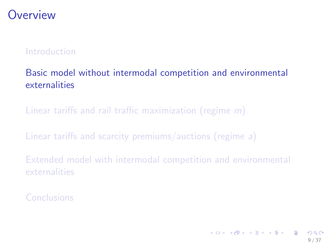# **Overview**

#### [Introduction](#page-2-0)

#### [Basic model without intermodal competition and environmental](#page-8-0) [externalities](#page-8-0)

[Linear tariffs and rail traffic maximization \(regime](#page-13-0) m)

[Linear tariffs and scarcity premiums/auctions \(regime](#page-19-0) a)

<span id="page-8-0"></span>[Extended model with intermodal competition and environmental](#page-28-0) [externalities](#page-28-0)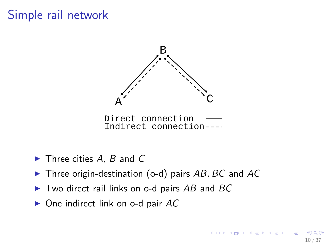# Simple rail network



Direct connection Indirect connection

- $\blacktriangleright$  Three cities A, B and C
- $\blacktriangleright$  Three origin-destination (o-d) pairs AB, BC and AC
- $\triangleright$  Two direct rail links on o-d pairs AB and BC
- $\triangleright$  One indirect link on o-d pair AC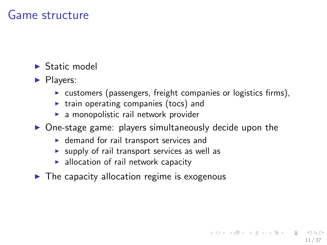## Game structure

- $\blacktriangleright$  Static model
- $\blacktriangleright$  Players:
	- $\triangleright$  customers (passengers, freight companies or logistics firms),

11 / 37

イロト 不優 ト 不差 ト 不差 トー 差

- $\triangleright$  train operating companies (tocs) and
- $\blacktriangleright$  a monopolistic rail network provider
- $\triangleright$  One-stage game: players simultaneously decide upon the
	- $\triangleright$  demand for rail transport services and
	- $\triangleright$  supply of rail transport services as well as
	- $\blacktriangleright$  allocation of rail network capacity
- $\blacktriangleright$  The capacity allocation regime is exogenous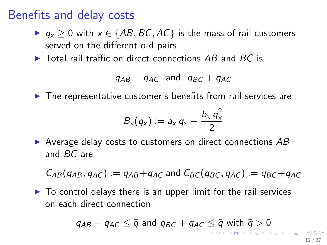## Benefits and delay costs

- $\triangleright$   $q_x \ge 0$  with  $x \in \{AB, BC, AC\}$  is the mass of rail customers served on the different o-d pairs
- $\triangleright$  Total rail traffic on direct connections AB and BC is

 $q_{AB} + q_{AC}$  and  $q_{BC} + q_{AC}$ 

 $\blacktriangleright$  The representative customer's benefits from rail services are

$$
B_x(q_x) := a_x q_x - \frac{b_x q_x^2}{2}
$$

 $\triangleright$  Average delay costs to customers on direct connections AB and BC are

 $C_{AB}(q_{AB}, q_{AC}) := q_{AB}+q_{AC}$  and  $C_{BC}(q_{BC}, q_{AC}) := q_{BC}+q_{AC}$ 

 $\triangleright$  To control delays there is an upper limit for the rail services on each direct connection

$$
q_{AB} + q_{AC} \leq \overline{q} \text{ and } q_{BC} + q_{AC} \leq \overline{q} \text{ with } \overline{q} > 0
$$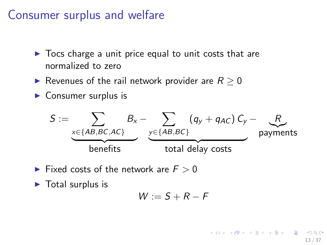## Consumer surplus and welfare

- $\triangleright$  Tocs charge a unit price equal to unit costs that are normalized to zero
- Revenues of the rail network provider are  $R > 0$
- $\triangleright$  Consumer surplus is

$$
S := \underbrace{\sum_{x \in \{AB, BC, AC\}} B_x - \sum_{y \in \{AB, BC\}} (q_y + q_{AC}) C_y - \sum_{\text{payments}} R}{\text{benefits}}
$$

- Fixed costs of the network are  $F > 0$
- $\blacktriangleright$  Total surplus is

$$
W:=S+R-F
$$

K ロ ▶ K @ ▶ K 할 ▶ K 할 ▶ ... 할 ... 900 13 / 37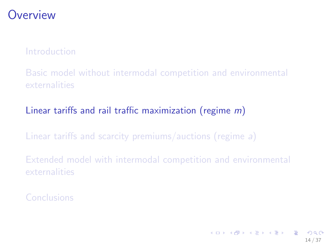# **Overview**

#### [Introduction](#page-2-0)

[Basic model without intermodal competition and environmental](#page-8-0) [externalities](#page-8-0)

#### [Linear tariffs and rail traffic maximization \(regime](#page-13-0) m)

[Linear tariffs and scarcity premiums/auctions \(regime](#page-19-0) a)

<span id="page-13-0"></span>[Extended model with intermodal competition and environmental](#page-28-0) [externalities](#page-28-0)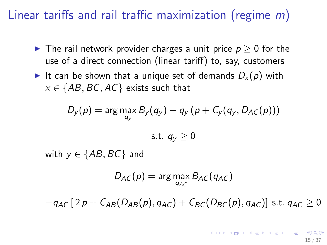# Linear tariffs and rail traffic maximization (regime m)

- ► The rail network provider charges a unit price  $p \geq 0$  for the use of a direct connection (linear tariff) to, say, customers
- It can be shown that a unique set of demands  $D_x(p)$  with  $x \in \{AB, BC, AC\}$  exists such that

$$
D_{y}(p) = \arg\max_{q_{y}} B_{y}(q_{y}) - q_{y}(p + C_{y}(q_{y}, D_{AC}(p)))
$$

$$
s.t. q_y \geq 0
$$

with  $y \in \{AB, BC\}$  and

$$
D_{AC}(p) = \arg\max_{q_{AC}} B_{AC}(q_{AC})
$$

 $-q_{AC}$  [ 2 p +  $C_{AB}(D_{AB}(p), q_{AC}) + C_{BC}(D_{BC}(p), q_{AC})$ ] s.t.  $q_{AC} \ge 0$ 

**KORK CONSTRUCTION OF STARTING** 15 / 37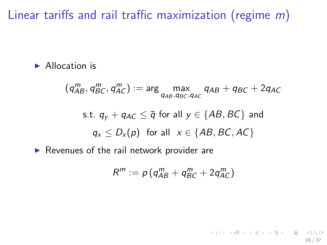Linear tariffs and rail traffic maximization (regime m)

 $\blacktriangleright$  Allocation is

 $(q_{AB}^m, q_{BC}^m, q_{AC}^m) := \arg \max_{q_{AB}, q_{BC}, q_{AC}} q_{AB} + q_{BC} + 2q_{AC}$ s.t.  $q_v + q_{AC} \leq \overline{q}$  for all  $y \in \{AB, BC\}$  and  $q_x \leq D_x(p)$  for all  $x \in \{AB, BC, AC\}$  $\blacktriangleright$  Revenues of the rail network provider are

$$
R^m := p\left(q_{AB}^m + q_{BC}^m + 2q_{AC}^m\right)
$$

16 / 37

K ロ ▶ K @ ▶ K 할 ▶ K 할 ▶ | 할 | 19 Q Q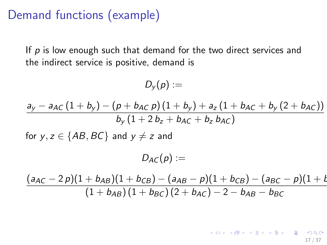# Demand functions (example)

If  $p$  is low enough such that demand for the two direct services and the indirect service is positive, demand is

$$
D_{y}(p):=
$$

$$
\frac{a_y - a_{AC}(1 + b_y) - (p + b_{AC} p)(1 + b_y) + a_z (1 + b_{AC} + b_y (2 + b_{AC}))}{b_y (1 + 2 b_z + b_{AC} + b_z b_{AC})}
$$
  
for y, z \in {AB, BC} and y \neq z and  

$$
D_{AC}(p) :=
$$

$$
\frac{(a_{AC} - 2 p)(1 + b_{AB})(1 + b_{CB}) - (a_{AB} - p)(1 + b_{CB}) - (a_{BC} - p)(1 + b_{AC})}{(1 + b_{AB})(1 + b_{BC})(2 + b_{AC}) - 2 - b_{AB} - b_{BC}}
$$

イロト 不優 ト 不差 ト 不差 トー 差  $\Omega$ 17 / 37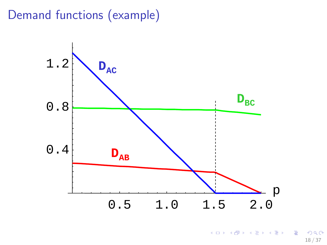# Demand functions (example)



メロメ メ御き メミメ メミメ 重  $299$ 18 / 37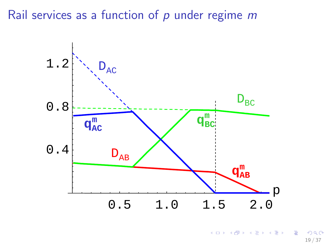Rail services as a function of  $p$  under regime  $m$ 



メロメ メ御き メミメ メミメ B  $299$ 19 / 37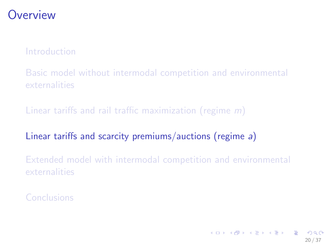# **Overview**

[Introduction](#page-2-0)

[Basic model without intermodal competition and environmental](#page-8-0) [externalities](#page-8-0)

[Linear tariffs and rail traffic maximization \(regime](#page-13-0) m)

[Linear tariffs and scarcity premiums/auctions \(regime](#page-19-0) a)

<span id="page-19-0"></span>[Extended model with intermodal competition and environmental](#page-28-0) [externalities](#page-28-0)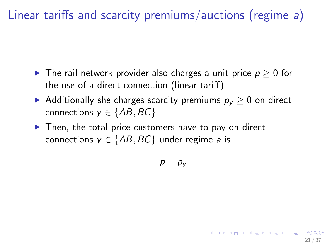Linear tariffs and scarcity premiums/auctions (regime a)

- ► The rail network provider also charges a unit price  $p \geq 0$  for the use of a direct connection (linear tariff)
- Additionally she charges scarcity premiums  $p_v \geq 0$  on direct connections  $y \in \{AB, BC\}$
- $\triangleright$  Then, the total price customers have to pay on direct connections  $y \in \{AB, BC\}$  under regime a is

 $p + p_v$ 

21 / 37

K ロ X K 個 X K 重 X K 重 X (重 X ) 重 → の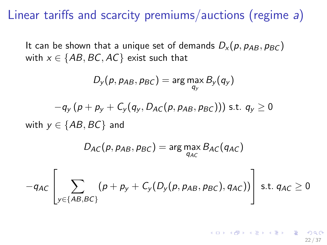Linear tariffs and scarcity premiums/auctions (regime a)

It can be shown that a unique set of demands  $D_x(p, p_{AB}, p_{BC})$ with  $x \in \{AB, BC, AC\}$  exist such that

$$
D_{y}(p, p_{AB}, p_{BC}) = \arg \max_{q_{y}} B_{y}(q_{y})
$$

$$
-q_{y}\left(p+p_{y}+C_{y}(q_{y},D_{AC}(p,p_{AB},p_{BC}))\right) \text{ s.t. } q_{y}\geq 0
$$

with  $y \in \{AB, BC\}$  and

$$
D_{AC}(p, p_{AB}, p_{BC}) = \arg\max_{q_{AC}} B_{AC}(q_{AC})
$$

$$
-q_{AC}\left[\sum_{y\in\{AB,BC\}}(p+p_y+C_y(D_y(p,p_{AB},p_{BC}),q_{AC}))\right] \text{ s.t. } q_{AC}\geq 0
$$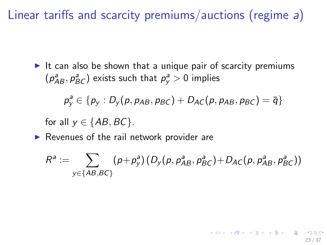Linear tariffs and scarcity premiums/auctions (regime a)

It can also be shown that a unique pair of scarcity premiums  $(p_{AB}^a, p_{BC}^a)$  exists such that  $p_y^a > 0$  implies

$$
p_{y}^{a} \in \{p_{y}: D_{y}(p, p_{AB}, p_{BC})+D_{AC}(p, p_{AB}, p_{BC})=\overline{q}\}
$$

for all  $v \in \{AB, BC\}$ .

 $\blacktriangleright$  Revenues of the rail network provider are

$$
R^{a} := \sum_{y \in \{AB, BC\}} (p + p_{y}^{a})(D_{y}(p, p_{AB}^{a}, p_{BC}^{a}) + D_{AC}(p, p_{AB}^{a}, p_{BC}^{a}))
$$

23 / 37

イロト 不優 ト 不思 ト 不思 トー 温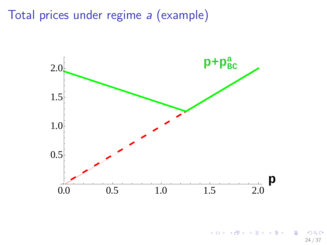Total prices under regime a (example)



メロト メ都 トメ ヨ トメ ヨト B  $299$ 24 / 37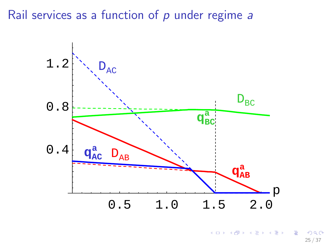Rail services as a function of  $p$  under regime  $a$ 



メロメ メ御き メミメ メミメ B  $QQQ$ 25 / 37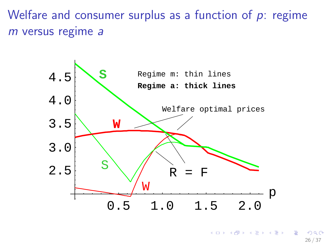Welfare and consumer surplus as a function of  $p$ : regime m versus regime a



 $\left\{ \begin{array}{ccc} 1 & 0 & 0 \\ 0 & 1 & 0 \end{array} \right\}$  ,  $\left\{ \begin{array}{ccc} 0 & 0 & 0 \\ 0 & 0 & 0 \end{array} \right\}$  $209$ 26 / 37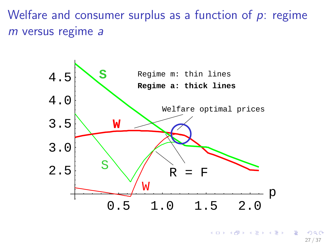Welfare and consumer surplus as a function of  $p$ : regime m versus regime a



 $\left\{ \begin{array}{ccc} 1 & 0 & 0 \\ 0 & 1 & 0 \end{array} \right\}$  ,  $\left\{ \begin{array}{ccc} 0 & 0 & 0 \\ 0 & 0 & 0 \end{array} \right\}$  $209$ 27 / 37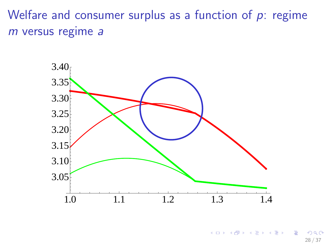Welfare and consumer surplus as a function of  $p$ : regime m versus regime a



**←ロ ▶ ← イ 同 →**  $\rightarrow$   $\equiv$   $\rightarrow$  $\rightarrow \equiv$  $209$ 28 / 37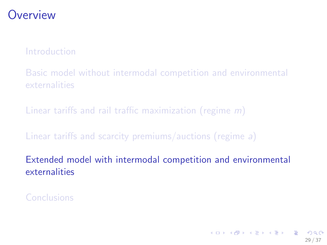# **Overview**

[Introduction](#page-2-0)

[Basic model without intermodal competition and environmental](#page-8-0) [externalities](#page-8-0)

[Linear tariffs and rail traffic maximization \(regime](#page-13-0) m)

[Linear tariffs and scarcity premiums/auctions \(regime](#page-19-0) a)

<span id="page-28-0"></span>[Extended model with intermodal competition and environmental](#page-28-0) [externalities](#page-28-0)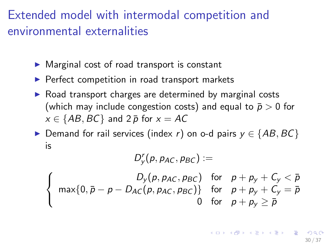# Extended model with intermodal competition and environmental externalities

- $\triangleright$  Marginal cost of road transport is constant
- $\blacktriangleright$  Perfect competition in road transport markets
- $\triangleright$  Road transport charges are determined by marginal costs (which may include congestion costs) and equal to  $\bar{p} > 0$  for  $x \in \{AB, BC\}$  and  $2\bar{p}$  for  $x = AC$
- Demand for rail services (index r) on o-d pairs  $y \in \{AB, BC\}$ is

 $D_y^r(p, p_{AC}, p_{BC}) :=$ 

$$
\begin{cases}\nD_y(p, p_{AC}, p_{BC}) & \text{for } p + p_y + C_y < \bar{p} \\
\max\{0, \bar{p} - p - D_{AC}(p, p_{AC}, p_{BC})\} & \text{for } p + p_y + C_y = \bar{p} \\
0 & \text{for } p + p_y \ge \bar{p}\n\end{cases}
$$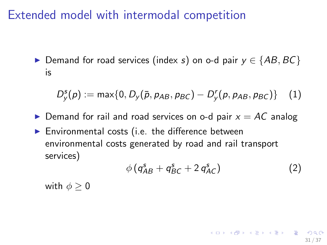# Extended model with intermodal competition

Demand for road services (index s) on o-d pair  $y \in \{AB, BC\}$ is

$$
D_y^s(p) := \max\{0, D_y(\bar{p}, p_{AB}, p_{BC}) - D_y^r(p, p_{AB}, p_{BC})\} \quad (1)
$$

- $\triangleright$  Demand for rail and road services on o-d pair  $x = AC$  analog
- $\blacktriangleright$  Environmental costs (i.e. the difference between environmental costs generated by road and rail transport services)

$$
\phi \left( q_{AB}^s + q_{BC}^s + 2 q_{AC}^s \right) \tag{2}
$$

31 / 37

**K ロ ▶ K 레 ▶ K 코 ▶ K 코 ▶ 『코』 ◆ 9 Q Q** 

with  $\phi > 0$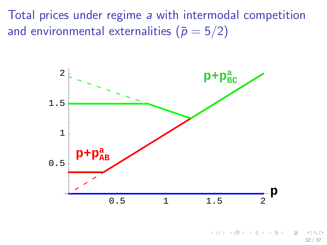Total prices under regime a with intermodal competition and environmental externalities ( $\bar{p} = 5/2$ )



 $\left\{ \begin{array}{ccc} 1 & 0 & 0 \\ 0 & 1 & 0 \end{array} \right\}$  ,  $\left\{ \begin{array}{ccc} 0 & 0 & 0 \\ 0 & 0 & 0 \end{array} \right\}$ 32 / 37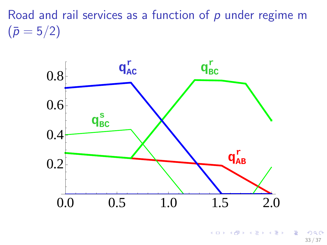Road and rail services as a function of  $p$  under regime m  $(\bar{p} = 5/2)$ 



メロメ メ御き メミメ メミメ 画  $QQQ$ 33 / 37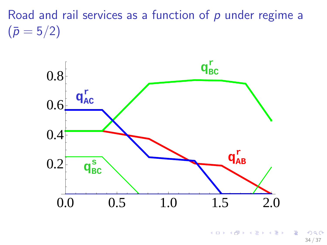Road and rail services as a function of  $p$  under regime a  $(\bar{p} = 5/2)$ 



メロト メ都 トメ ヨ トメ ヨト B  $\Omega$ 34 / 37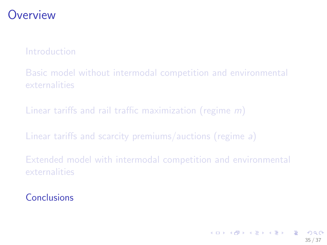# **Overview**

#### [Introduction](#page-2-0)

[Basic model without intermodal competition and environmental](#page-8-0) [externalities](#page-8-0)

[Linear tariffs and rail traffic maximization \(regime](#page-13-0) m)

[Linear tariffs and scarcity premiums/auctions \(regime](#page-19-0) a)

<span id="page-34-0"></span>[Extended model with intermodal competition and environmental](#page-28-0) [externalities](#page-28-0)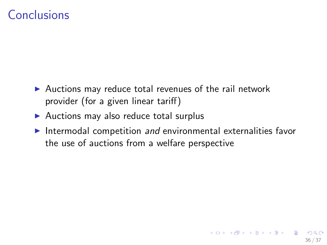- $\blacktriangleright$  Auctions may reduce total revenues of the rail network provider (for a given linear tariff)
- $\blacktriangleright$  Auctions may also reduce total surplus
- Intermodal competition and environmental externalities favor the use of auctions from a welfare perspective